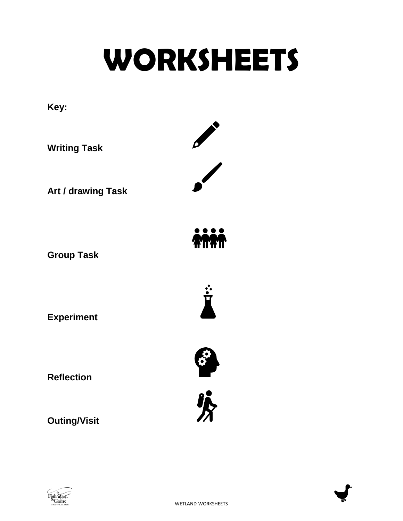# **WORKSHEETS**





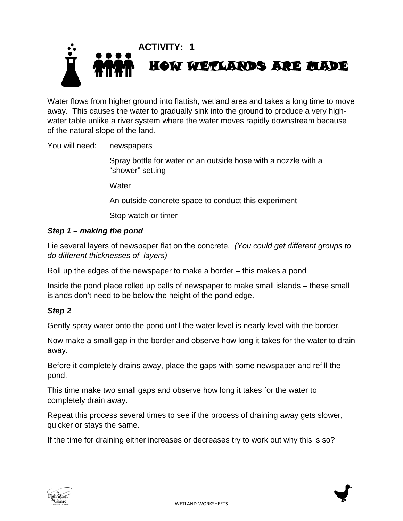

Water flows from higher ground into flattish, wetland area and takes a long time to move away. This causes the water to gradually sink into the ground to produce a very highwater table unlike a river system where the water moves rapidly downstream because of the natural slope of the land.

You will need: newspapers

Spray bottle for water or an outside hose with a nozzle with a "shower" setting

**Water** 

An outside concrete space to conduct this experiment

Stop watch or timer

#### *Step 1 – making the pond*

Lie several layers of newspaper flat on the concrete. *(You could get different groups to do different thicknesses of layers)*

Roll up the edges of the newspaper to make a border – this makes a pond

Inside the pond place rolled up balls of newspaper to make small islands – these small islands don't need to be below the height of the pond edge.

#### *Step 2*

Gently spray water onto the pond until the water level is nearly level with the border.

Now make a small gap in the border and observe how long it takes for the water to drain away.

Before it completely drains away, place the gaps with some newspaper and refill the pond.

This time make two small gaps and observe how long it takes for the water to completely drain away.

Repeat this process several times to see if the process of draining away gets slower, quicker or stays the same.

If the time for draining either increases or decreases try to work out why this is so?



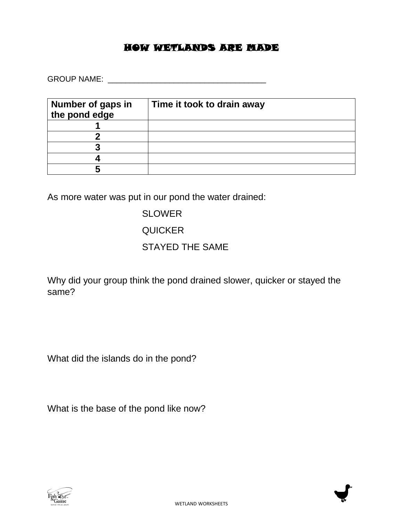#### HOW WETLANDS ARE MADE

GROUP NAME: \_\_\_\_\_\_\_\_\_\_\_\_\_\_\_\_\_\_\_\_\_\_\_\_\_\_\_\_\_\_\_\_\_\_\_\_

| Number of gaps in<br>the pond edge | Time it took to drain away |
|------------------------------------|----------------------------|
|                                    |                            |
|                                    |                            |
|                                    |                            |
|                                    |                            |
|                                    |                            |

As more water was put in our pond the water drained:

SLOWER **QUICKER** STAYED THE SAME

Why did your group think the pond drained slower, quicker or stayed the same?

What did the islands do in the pond?

What is the base of the pond like now?



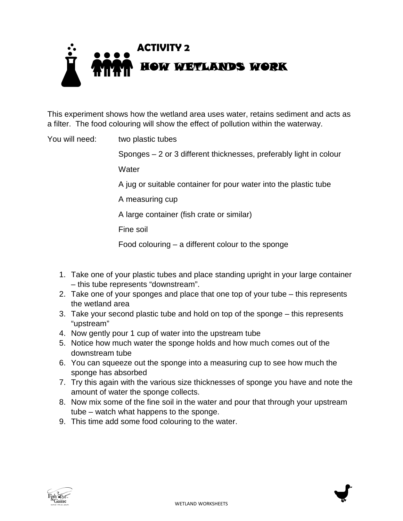

This experiment shows how the wetland area uses water, retains sediment and acts as a filter. The food colouring will show the effect of pollution within the waterway.

You will need: two plastic tubes

Sponges – 2 or 3 different thicknesses, preferably light in colour

**Water** 

A jug or suitable container for pour water into the plastic tube

A measuring cup

A large container (fish crate or similar)

Fine soil

Food colouring – a different colour to the sponge

- 1. Take one of your plastic tubes and place standing upright in your large container – this tube represents "downstream".
- 2. Take one of your sponges and place that one top of your tube this represents the wetland area
- 3. Take your second plastic tube and hold on top of the sponge this represents "upstream"
- 4. Now gently pour 1 cup of water into the upstream tube
- 5. Notice how much water the sponge holds and how much comes out of the downstream tube
- 6. You can squeeze out the sponge into a measuring cup to see how much the sponge has absorbed
- 7. Try this again with the various size thicknesses of sponge you have and note the amount of water the sponge collects.
- 8. Now mix some of the fine soil in the water and pour that through your upstream tube – watch what happens to the sponge.
- 9. This time add some food colouring to the water.



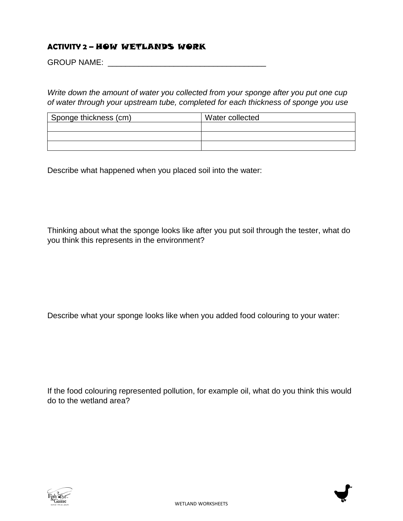#### **ACTIVITY 2 –** HOW WETLANDS WORK

GROUP NAME: \_\_\_\_\_\_\_\_\_\_\_\_\_\_\_\_\_\_\_\_\_\_\_\_\_\_\_\_\_\_\_\_\_\_\_\_

*Write down the amount of water you collected from your sponge after you put one cup of water through your upstream tube, completed for each thickness of sponge you use*

| Sponge thickness (cm) | Water collected |  |  |  |  |
|-----------------------|-----------------|--|--|--|--|
|                       |                 |  |  |  |  |
|                       |                 |  |  |  |  |
|                       |                 |  |  |  |  |

Describe what happened when you placed soil into the water:

Thinking about what the sponge looks like after you put soil through the tester, what do you think this represents in the environment?

Describe what your sponge looks like when you added food colouring to your water:

If the food colouring represented pollution, for example oil, what do you think this would do to the wetland area?



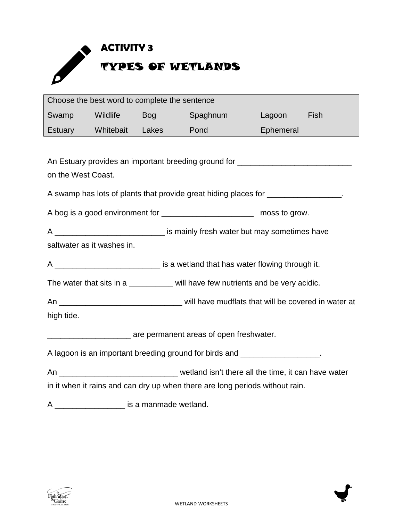

| Choose the best word to complete the sentence                                     |                                                                                 |  |                                                                                  |           |      |  |  |
|-----------------------------------------------------------------------------------|---------------------------------------------------------------------------------|--|----------------------------------------------------------------------------------|-----------|------|--|--|
| Swamp                                                                             | <b>Example 19 Mildlife</b> Bog                                                  |  | Spaghnum                                                                         | Lagoon    | Fish |  |  |
|                                                                                   | Estuary Whitebait Lakes                                                         |  | <b>Pond Condition</b>                                                            | Ephemeral |      |  |  |
|                                                                                   |                                                                                 |  |                                                                                  |           |      |  |  |
|                                                                                   |                                                                                 |  | An Estuary provides an important breeding ground for ___________________________ |           |      |  |  |
| on the West Coast.                                                                |                                                                                 |  |                                                                                  |           |      |  |  |
| A swamp has lots of plants that provide great hiding places for _________________ |                                                                                 |  |                                                                                  |           |      |  |  |
| A bog is a good environment for _______________________________ moss to grow.     |                                                                                 |  |                                                                                  |           |      |  |  |
|                                                                                   | A ________________________________ is mainly fresh water but may sometimes have |  |                                                                                  |           |      |  |  |
| saltwater as it washes in.                                                        |                                                                                 |  |                                                                                  |           |      |  |  |
| A ______________________________ is a wetland that has water flowing through it.  |                                                                                 |  |                                                                                  |           |      |  |  |
| The water that sits in a _________ will have few nutrients and be very acidic.    |                                                                                 |  |                                                                                  |           |      |  |  |
|                                                                                   |                                                                                 |  |                                                                                  |           |      |  |  |
| high tide.                                                                        |                                                                                 |  |                                                                                  |           |      |  |  |
| are permanent areas of open freshwater.                                           |                                                                                 |  |                                                                                  |           |      |  |  |
| A lagoon is an important breeding ground for birds and __________________.        |                                                                                 |  |                                                                                  |           |      |  |  |
|                                                                                   |                                                                                 |  |                                                                                  |           |      |  |  |
| in it when it rains and can dry up when there are long periods without rain.      |                                                                                 |  |                                                                                  |           |      |  |  |

A \_\_\_\_\_\_\_\_\_\_\_\_\_\_\_\_ is a manmade wetland.



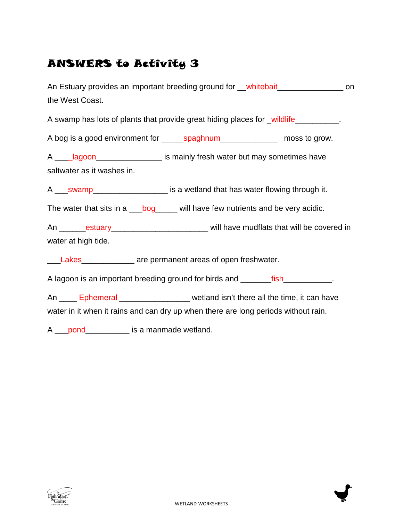#### ANSWERS to Activity 3

| An Estuary provides an important breeding ground for __whitebait________________ on<br>the West Coast.                                                                                                                                                                                                         |  |
|----------------------------------------------------------------------------------------------------------------------------------------------------------------------------------------------------------------------------------------------------------------------------------------------------------------|--|
| A swamp has lots of plants that provide great hiding places for _wildlife__________.                                                                                                                                                                                                                           |  |
| A bog is a good environment for ________ spaghnum_____________________ moss to grow.                                                                                                                                                                                                                           |  |
| A _____ lagoon___________________ is mainly fresh water but may sometimes have                                                                                                                                                                                                                                 |  |
| saltwater as it washes in.                                                                                                                                                                                                                                                                                     |  |
|                                                                                                                                                                                                                                                                                                                |  |
| The water that sits in a ___bog_____ will have few nutrients and be very acidic.                                                                                                                                                                                                                               |  |
| An _______estuary_________________________________ will have mudflats that will be covered in                                                                                                                                                                                                                  |  |
| water at high tide.                                                                                                                                                                                                                                                                                            |  |
| Lakes<br><u>Lakes</u><br><u>Lakes</u><br><u>Lakes</u><br><u>Lakes</u><br>Lakes<br>Lakes<br>Lakes<br>Lakes<br>Lakes<br>Lakes<br>Lakes<br>Lakes<br>Lakes<br>Lakes<br>Lakes<br>Lakes<br>Lakes<br>Lakes<br>Lakes<br>Lakes<br>Lakes<br>Lakes<br>Lakes<br>Lakes<br>Lakes<br>Lakes<br>Lakes<br>Lakes<br>Lakes<br>Lake |  |
| A lagoon is an important breeding ground for birds and ________fish____________.                                                                                                                                                                                                                               |  |
| An ____ Ephemeral _______________ wetland isn't there all the time, it can have                                                                                                                                                                                                                                |  |
| water in it when it rains and can dry up when there are long periods without rain.                                                                                                                                                                                                                             |  |
| A ____pond_______________ is a manmade wetland.                                                                                                                                                                                                                                                                |  |



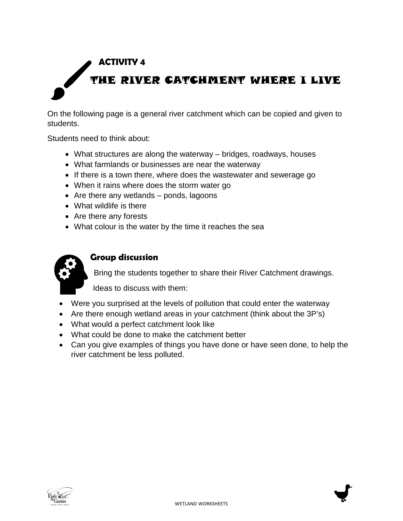## **ACTIVITY 4** THE RIVER CATCHMENT WHERE I LIVE

On the following page is a general river catchment which can be copied and given to students.

Students need to think about:

- What structures are along the waterway bridges, roadways, houses
- What farmlands or businesses are near the waterway
- If there is a town there, where does the wastewater and sewerage go
- When it rains where does the storm water go
- Are there any wetlands ponds, lagoons
- What wildlife is there
- Are there any forests
- What colour is the water by the time it reaches the sea



#### **Group discussion**

Bring the students together to share their River Catchment drawings.

Ideas to discuss with them:

- Were you surprised at the levels of pollution that could enter the waterway
- Are there enough wetland areas in your catchment (think about the 3P's)
- What would a perfect catchment look like
- What could be done to make the catchment better
- Can you give examples of things you have done or have seen done, to help the river catchment be less polluted.



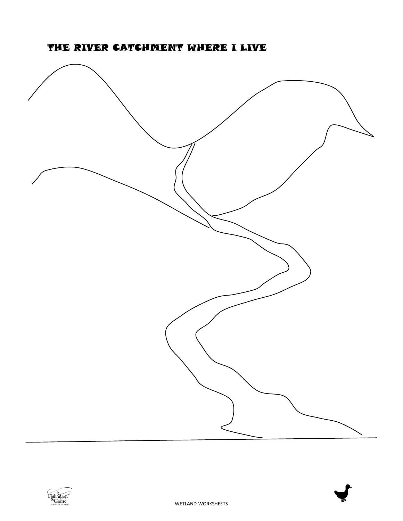



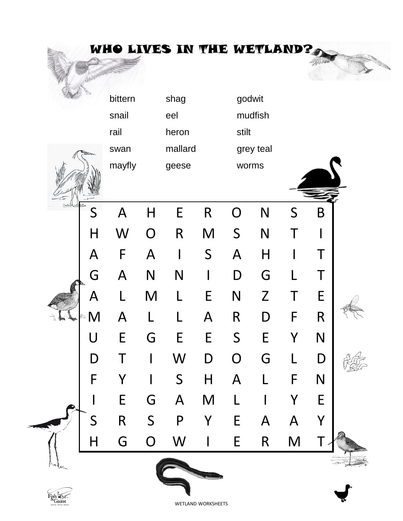|                          |              | WHO LIVES IN THE WETLAND? |              |                |               |                |                         |   |   |  |
|--------------------------|--------------|---------------------------|--------------|----------------|---------------|----------------|-------------------------|---|---|--|
|                          |              | bittern                   |              | shag           |               | godwit         |                         |   |   |  |
|                          |              | snail                     |              | eel            |               |                | mudfish                 |   |   |  |
|                          |              | rail                      |              | heron          |               | stilt          |                         |   |   |  |
|                          |              | swan                      |              | mallard        |               |                | grey teal               |   |   |  |
|                          |              | mayfly                    |              | geese          |               | worms          |                         |   |   |  |
|                          | S            | $\mathsf{A}$              | H            | E              | $\mathsf{R}$  | O              | N                       | S | B |  |
|                          | H            | W                         | $\Omega$     | $\mathsf{R}$   | M             | S              | N                       | Τ |   |  |
|                          | $\mathsf{A}$ | F                         | A            |                | S             | $\mathsf{A}$   | $\overline{\mathsf{H}}$ |   | Τ |  |
|                          | G            | A                         | N            | N              |               | D              | G                       |   | Τ |  |
|                          | A            | $\mathsf{L}$              | M            | I.             | E             | N              | $\mathsf{Z}$            | Τ | E |  |
|                          | M<br>τJ,     | А                         |              |                | А             | $\mathsf R$    | D                       | F | R |  |
|                          |              | E                         | G            | C              | E             | S              | C                       |   | N |  |
|                          | D            |                           |              | W              | $\mathsf D$   | $\overline{O}$ | G                       |   | D |  |
|                          | F            | Y                         |              | S              | $\mathsf{H}%$ | $\mathsf{A}$   |                         | F | N |  |
|                          |              | $\mathsf E$               | G            | $\overline{A}$ | M             |                |                         |   | E |  |
|                          | S            | $\mathsf R$               | $\mathsf{S}$ | $\mathsf{P}$   | Y             | E              | A                       | A | Y |  |
|                          | $\sf H$      | G                         | O            | W              |               | E              | R                       | M |   |  |
| $\widehat{\mathfrak{c}}$ |              |                           |              |                |               |                |                         |   |   |  |



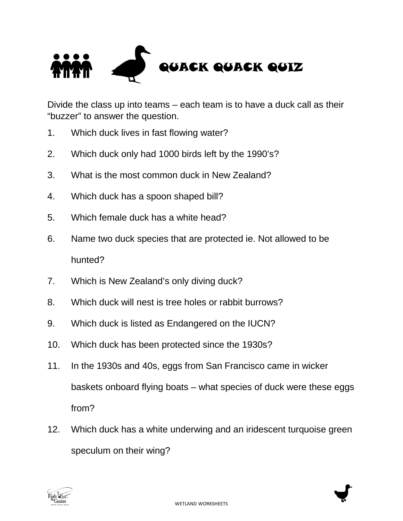

Divide the class up into teams – each team is to have a duck call as their "buzzer" to answer the question.

- 1. Which duck lives in fast flowing water?
- 2. Which duck only had 1000 birds left by the 1990's?
- 3. What is the most common duck in New Zealand?
- 4. Which duck has a spoon shaped bill?
- 5. Which female duck has a white head?
- 6. Name two duck species that are protected ie. Not allowed to be hunted?
- 7. Which is New Zealand's only diving duck?
- 8. Which duck will nest is tree holes or rabbit burrows?
- 9. Which duck is listed as Endangered on the IUCN?
- 10. Which duck has been protected since the 1930s?
- 11. In the 1930s and 40s, eggs from San Francisco came in wicker baskets onboard flying boats – what species of duck were these eggs from?
- 12. Which duck has a white underwing and an iridescent turquoise green speculum on their wing?



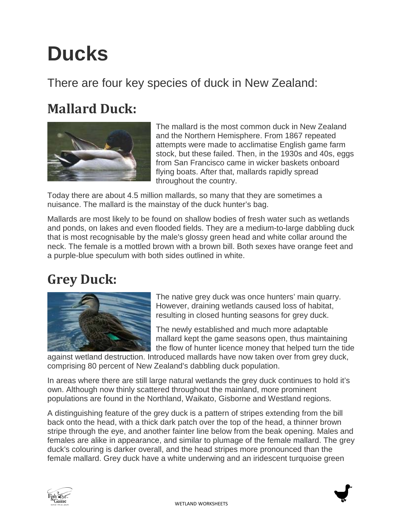## **Ducks**

#### There are four key species of duck in New Zealand:

### **Mallard Duck:**



The mallard is the most common duck in New Zealand and the Northern Hemisphere. From 1867 repeated attempts were made to acclimatise English game farm stock, but these failed. Then, in the 1930s and 40s, eggs from San Francisco came in wicker baskets onboard flying boats. After that, mallards rapidly spread throughout the country.

Today there are about 4.5 million mallards, so many that they are sometimes a nuisance. The mallard is the mainstay of the duck hunter's bag.

Mallards are most likely to be found on shallow bodies of fresh water such as wetlands and ponds, on lakes and even flooded fields. They are a medium-to-large dabbling duck that is most recognisable by the male's glossy green head and white collar around the neck. The female is a mottled brown with a brown bill. Both sexes have orange feet and a purple-blue speculum with both sides outlined in white.

### **Grey Duck:**



The native grey duck was once hunters' main quarry. However, draining wetlands caused loss of habitat, resulting in closed hunting seasons for grey duck.

The newly established and much more adaptable mallard kept the game seasons open, thus maintaining the flow of hunter licence money that helped turn the tide

against wetland destruction. Introduced mallards have now taken over from grey duck, comprising 80 percent of New Zealand's dabbling duck population.

In areas where there are still large natural wetlands the grey duck continues to hold it's own. Although now thinly scattered throughout the mainland, more prominent populations are found in the Northland, Waikato, Gisborne and Westland regions.

A distinguishing feature of the grey duck is a pattern of stripes extending from the bill back onto the head, with a thick dark patch over the top of the head, a thinner brown stripe through the eye, and another fainter line below from the beak opening. Males and females are alike in appearance, and similar to plumage of the female mallard. The grey duck's colouring is darker overall, and the head stripes more pronounced than the female mallard. Grey duck have a white underwing and an iridescent turquoise green



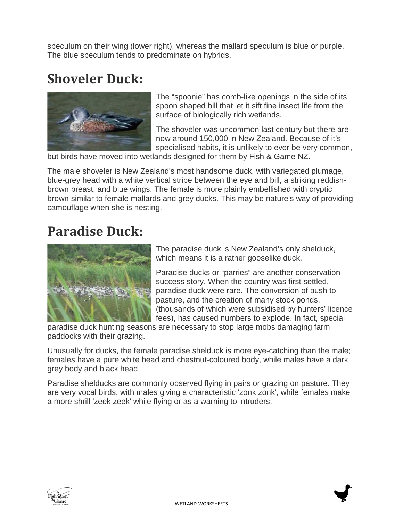speculum on their wing (lower right), whereas the mallard speculum is blue or purple. The blue speculum tends to predominate on hybrids.

### **Shoveler Duck:**



The "spoonie" has comb-like openings in the side of its spoon shaped bill that let it sift fine insect life from the surface of biologically rich wetlands.

The shoveler was uncommon last century but there are now around 150,000 in New Zealand. Because of it's specialised habits, it is unlikely to ever be very common,

but birds have moved into wetlands designed for them by Fish & Game NZ.

The male shoveler is New Zealand's most handsome duck, with variegated plumage, blue-grey head with a white vertical stripe between the eye and bill, a striking reddishbrown breast, and blue wings. The female is more plainly embellished with cryptic brown similar to female mallards and grey ducks. This may be nature's way of providing camouflage when she is nesting.

#### **Paradise Duck:**



The paradise duck is New Zealand's only shelduck, which means it is a rather gooselike duck.

Paradise ducks or "parries" are another conservation success story. When the country was first settled, paradise duck were rare. The conversion of bush to pasture, and the creation of many stock ponds, (thousands of which were subsidised by hunters' licence fees), has caused numbers to explode. In fact, special

paradise duck hunting seasons are necessary to stop large mobs damaging farm paddocks with their grazing.

Unusually for ducks, the female paradise shelduck is more eye-catching than the male; females have a pure white head and chestnut-coloured body, while males have a dark grey body and black head.

Paradise shelducks are commonly observed flying in pairs or grazing on pasture. They are very vocal birds, with males giving a characteristic 'zonk zonk', while females make a more shrill 'zeek zeek' while flying or as a warning to intruders.



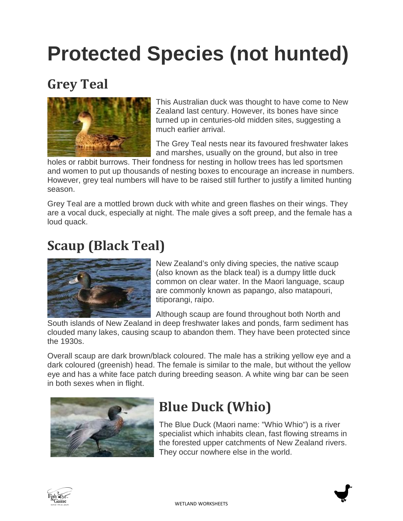## **Protected Species (not hunted)**

### **Grey Teal**



This Australian duck was thought to have come to New Zealand last century. However, its bones have since turned up in centuries-old midden sites, suggesting a much earlier arrival.

The Grey Teal nests near its favoured freshwater lakes and marshes, usually on the ground, but also in tree

holes or rabbit burrows. Their fondness for nesting in hollow trees has led sportsmen and women to put up thousands of nesting boxes to encourage an increase in numbers. However, grey teal numbers will have to be raised still further to justify a limited hunting season.

Grey Teal are a mottled brown duck with white and green flashes on their wings. They are a vocal duck, especially at night. The male gives a soft preep, and the female has a loud quack.

### **Scaup (Black Teal)**



New Zealand's only diving species, the native scaup (also known as the black teal) is a dumpy little duck common on clear water. In the Maori language, scaup are commonly known as papango, also matapouri, titiporangi, raipo.

Although scaup are found throughout both North and

South islands of New Zealand in deep freshwater lakes and ponds, farm sediment has clouded many lakes, causing scaup to abandon them. They have been protected since the 1930s.

Overall scaup are dark brown/black coloured. The male has a striking yellow eye and a dark coloured (greenish) head. The female is similar to the male, but without the yellow eye and has a white face patch during breeding season. A white wing bar can be seen in both sexes when in flight.



### **Blue Duck (Whio)**

The Blue Duck (Maori name: "Whio Whio") is a river specialist which inhabits clean, fast flowing streams in the forested upper catchments of New Zealand rivers. They occur nowhere else in the world.



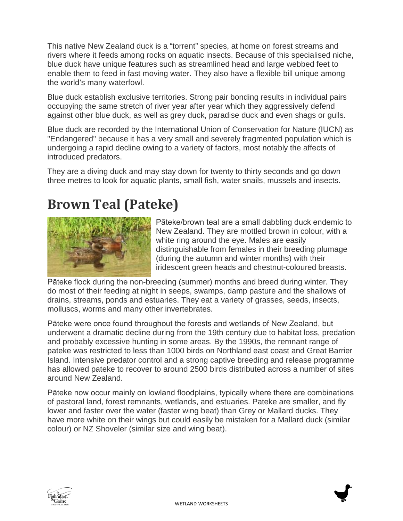This native New Zealand duck is a "torrent" species, at home on forest streams and rivers where it feeds among rocks on aquatic insects. Because of this specialised niche, blue duck have unique features such as streamlined head and large webbed feet to enable them to feed in fast moving water. They also have a flexible bill unique among the world's many waterfowl.

Blue duck establish exclusive territories. Strong pair bonding results in individual pairs occupying the same stretch of river year after year which they aggressively defend against other blue duck, as well as grey duck, paradise duck and even shags or gulls.

Blue duck are recorded by the International Union of Conservation for Nature (IUCN) as "Endangered" because it has a very small and severely fragmented population which is undergoing a rapid decline owing to a variety of factors, most notably the affects of introduced predators.

They are a diving duck and may stay down for twenty to thirty seconds and go down three metres to look for aquatic plants, small fish, water snails, mussels and insects.

### **Brown Teal (Pateke)**



Pāteke/brown teal are a small dabbling duck endemic to New Zealand. They are mottled brown in colour, with a white ring around the eye. Males are easily distinguishable from females in their breeding plumage (during the autumn and winter months) with their iridescent green heads and chestnut-coloured breasts.

Pāteke flock during the non-breeding (summer) months and breed during winter. They do most of their feeding at night in seeps, swamps, damp pasture and the shallows of drains, streams, ponds and estuaries. They eat a variety of grasses, seeds, insects, molluscs, worms and many other invertebrates.

Pāteke were once found throughout the forests and wetlands of New Zealand, but underwent a dramatic decline during from the 19th century due to habitat loss, predation and probably excessive hunting in some areas. By the 1990s, the remnant range of pateke was restricted to less than 1000 birds on Northland east coast and Great Barrier Island. Intensive predator control and a strong captive breeding and release programme has allowed pateke to recover to around 2500 birds distributed across a number of sites around New Zealand.

Pāteke now occur mainly on lowland floodplains, typically where there are combinations of pastoral land, forest remnants, wetlands, and estuaries. Pateke are smaller, and fly lower and faster over the water (faster wing beat) than Grey or Mallard ducks. They have more white on their wings but could easily be mistaken for a Mallard duck (similar colour) or NZ Shoveler (similar size and wing beat).



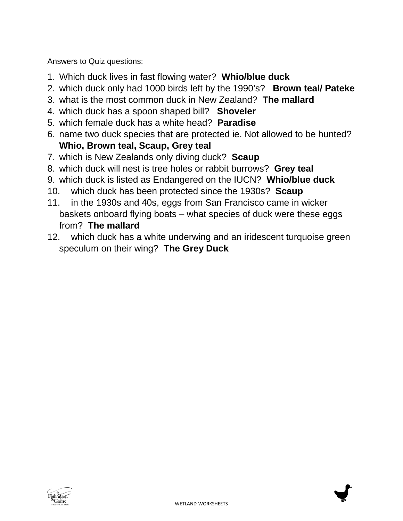Answers to Quiz questions:

- 1. Which duck lives in fast flowing water? **Whio/blue duck**
- 2. which duck only had 1000 birds left by the 1990's? **Brown teal/ Pateke**
- 3. what is the most common duck in New Zealand? **The mallard**
- 4. which duck has a spoon shaped bill? **Shoveler**
- 5. which female duck has a white head? **Paradise**
- 6. name two duck species that are protected ie. Not allowed to be hunted? **Whio, Brown teal, Scaup, Grey teal**
- 7. which is New Zealands only diving duck? **Scaup**
- 8. which duck will nest is tree holes or rabbit burrows? **Grey teal**
- 9. which duck is listed as Endangered on the IUCN? **Whio/blue duck**
- 10. which duck has been protected since the 1930s? **Scaup**
- 11. in the 1930s and 40s, eggs from San Francisco came in wicker baskets onboard flying boats – what species of duck were these eggs from? **The mallard**
- 12. which duck has a white underwing and an iridescent turquoise green speculum on their wing? **The Grey Duck**

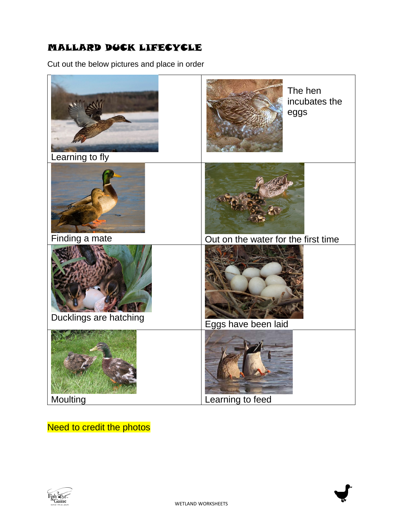#### MALLARD DUCK LIFECYCLE

Cut out the below pictures and place in order



#### **Need to credit the photos**



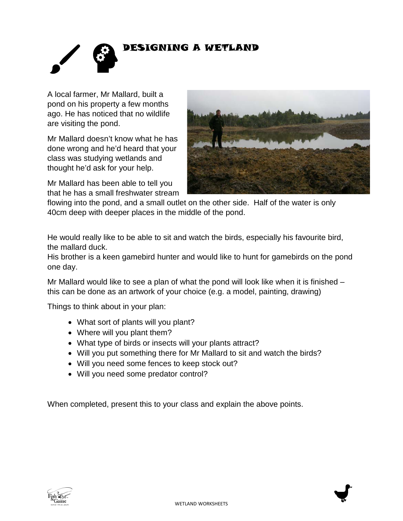

A local farmer, Mr Mallard, built a pond on his property a few months ago. He has noticed that no wildlife are visiting the pond.

Mr Mallard doesn't know what he has done wrong and he'd heard that your class was studying wetlands and thought he'd ask for your help.

Mr Mallard has been able to tell you that he has a small freshwater stream



flowing into the pond, and a small outlet on the other side. Half of the water is only 40cm deep with deeper places in the middle of the pond.

He would really like to be able to sit and watch the birds, especially his favourite bird, the mallard duck.

His brother is a keen gamebird hunter and would like to hunt for gamebirds on the pond one day.

Mr Mallard would like to see a plan of what the pond will look like when it is finished – this can be done as an artwork of your choice (e.g. a model, painting, drawing)

Things to think about in your plan:

- What sort of plants will you plant?
- Where will you plant them?
- What type of birds or insects will your plants attract?
- Will you put something there for Mr Mallard to sit and watch the birds?
- Will you need some fences to keep stock out?
- Will you need some predator control?

When completed, present this to your class and explain the above points.